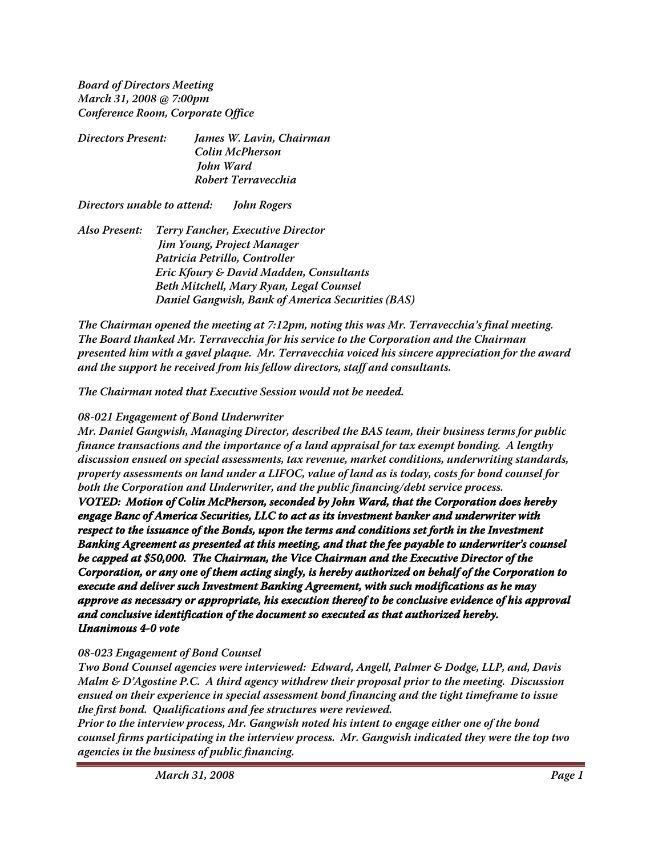**Board of Directors Meeting March 31, 2008 @ 7:00pm Conference Room, Corporate Office**

| Directors Present: | James W. Lavin, Chairman |
|--------------------|--------------------------|
|                    | Colin McPherson          |
|                    | John Ward                |
|                    | Robert Terravecchia      |
|                    |                          |

**Directors unable to attend: John Rogers**

**Also Present: Terry Fancher, Executive Director Jim Young, Project Manager Patricia Petrillo, Controller Eric Kfoury & David Madden, Consultants Beth Mitchell, Mary Ryan, Legal Counsel Daniel Gangwish, Bank of America Securities (BAS)**

**The Chairman opened the meeting at 7:12pm, noting this was Mr. Terravecchia's final meeting. The Board thanked Mr. Terravecchia for his service to the Corporation and the Chairman presented him with a gavel plaque. Mr. Terravecchia voiced his sincere appreciation for the award and the support he received from his fellow directors, staff and consultants.**

**The Chairman noted that Executive Session would not be needed.**

## **08-021 Engagement of Bond Underwriter**

**Mr. Daniel Gangwish, Managing Director, described the BAS team, their business terms for public finance transactions and the importance of a land appraisal for tax exempt bonding. A lengthy discussion ensued on special assessments, tax revenue, market conditions, underwriting standards, property assessments on land under a LIFOC, value of land as is today, costs for bond counsel for both the Corporation and Underwriter, and the public financing/debt service process.**

**VOTED: Motion of Colin McPherson, seconded by John Ward, that the Corporation does hereby engage Banc of America Securities, LLC to act as its investment banker and underwriter with respect to the issuance of the Bonds, upon the terms and conditions set forth in the Investment Banking Agreement as presented at this meeting, and that the fee payable to underwriter's counsel be capped at \$50,000. The Chairman, the Vice Chairman and the Executive Director of the Corporation, or any one of them acting singly, is hereby authorized on behalf of the Corporation to execute and deliver such Investment Banking Agreement, with such modifications as he may approve as necessary or appropriate, his execution thereof to be conclusive evidence of his approval and conclusive identification of the document so executed as that authorized hereby. Unanimous 4-0 vote**

## **08-023 Engagement of Bond Counsel**

**Two Bond Counsel agencies were interviewed: Edward, Angell, Palmer & Dodge, LLP, and, Davis Malm & D'Agostine P.C. A third agency withdrew their proposal prior to the meeting. Discussion ensued on their experience in special assessment bond financing and the tight timeframe to issue the first bond. Qualifications and fee structures were reviewed.**

**Prior to the interview process, Mr. Gangwish noted his intent to engage either one of the bond counsel firms participating in the interview process. Mr. Gangwish indicated they were the top two agencies in the business of public financing.**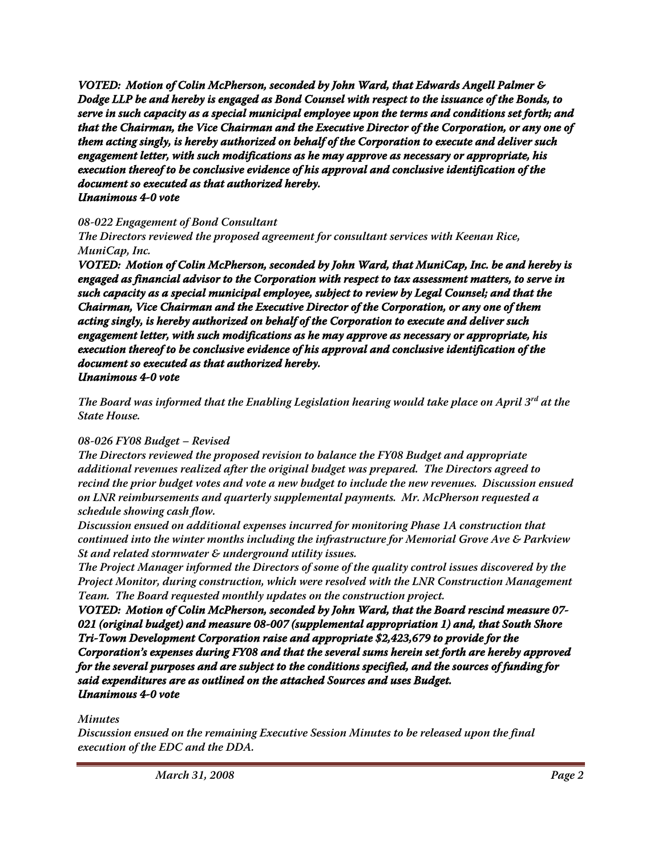**VOTED: Motion of Colin McPherson, seconded by John Ward, that Edwards Angell Palmer & Dodge LLP be and hereby is engaged as Bond Counsel with respect to the issuance of the Bonds, to serve in such capacity as a special municipal employee upon the terms and conditions set forth; and that the Chairman, the Vice Chairman and the Executive Director of the Corporation, or any one of them acting singly, is hereby authorized on behalf of the Corporation to execute and deliver such engagement letter, with such modifications as he may approve as necessary or appropriate, his execution thereof to be conclusive evidence of his approval and conclusive identification of the document so executed as that authorized hereby. Unanimous 4-0 vote**

### **08-022 Engagement of Bond Consultant**

**The Directors reviewed the proposed agreement for consultant services with Keenan Rice, MuniCap, Inc.**

**VOTED: Motion of Colin McPherson, seconded by John Ward, that MuniCap, Inc. be and hereby is engaged as financial advisor to the Corporation with respect to tax assessment matters, to serve in such capacity as a special municipal employee, subject to review by Legal Counsel; and that the Chairman, Vice Chairman and the Executive Director of the Corporation, or any one of them acting singly, is hereby authorized on behalf of the Corporation to execute and deliver such engagement letter, with such modifications as he may approve as necessary or appropriate, his execution thereof to be conclusive evidence of his approval and conclusive identification of the document so executed as that authorized hereby. Unanimous 4-0 vote**

**The Board was informed that the Enabling Legislation hearing would take place on April 3rd at the State House.**

#### **08-026 FY08 Budget – Revised**

**The Directors reviewed the proposed revision to balance the FY08 Budget and appropriate additional revenues realized after the original budget was prepared. The Directors agreed to recind the prior budget votes and vote a new budget to include the new revenues. Discussion ensued on LNR reimbursements and quarterly supplemental payments. Mr. McPherson requested a schedule showing cash flow.**

**Discussion ensued on additional expenses incurred for monitoring Phase 1A construction that continued into the winter months including the infrastructure for Memorial Grove Ave & Parkview St and related stormwater & underground utility issues.**

**The Project Manager informed the Directors of some of the quality control issues discovered by the Project Monitor, during construction, which were resolved with the LNR Construction Management Team. The Board requested monthly updates on the construction project.**

**VOTED: Motion of Colin McPherson, seconded by John Ward, that the Board rescind measure 07- 021 (original budget) and measure 08-007 (supplemental appropriation 1) and, that South Shore Tri-Town Development Corporation raise and appropriate \$2,423,679 to provide for the Corporation's expenses during FY08 and that the several sums herein set forth are hereby approved for the several purposes and are subject to the conditions specified, and the sources of funding for said expenditures are as outlined on the attached Sources and uses Budget. Unanimous 4-0 vote**

## **Minutes**

**Discussion ensued on the remaining Executive Session Minutes to be released upon the final execution of the EDC and the DDA.**